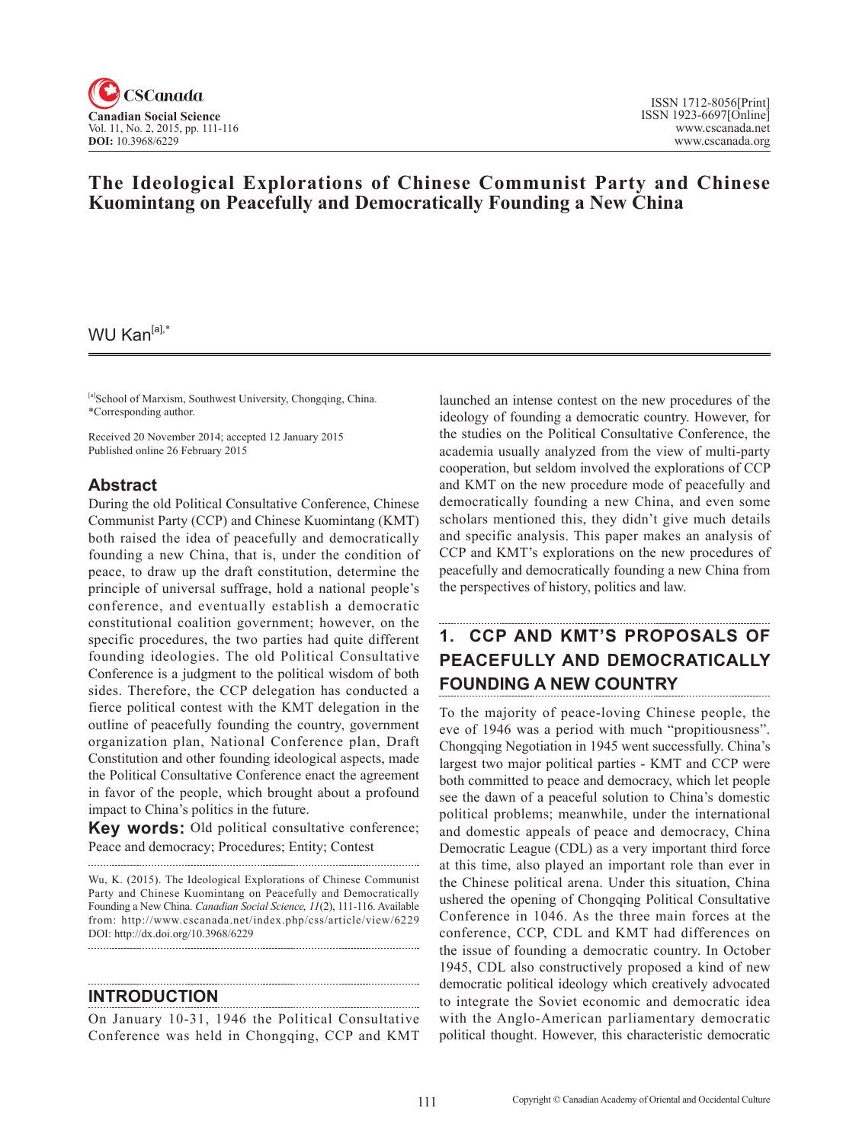

## **The Ideological Explorations of Chinese Communist Party and Chinese Kuomintang on Peacefully and Democratically Founding a New China**

### WU Kan<sup>[a],\*</sup>

[a]School of Marxism, Southwest University, Chongqing, China. \*Corresponding author.

Received 20 November 2014; accepted 12 January 2015 Published online 26 February 2015

### **Abstract**

During the old Political Consultative Conference, Chinese Communist Party (CCP) and Chinese Kuomintang (KMT) both raised the idea of peacefully and democratically founding a new China, that is, under the condition of peace, to draw up the draft constitution, determine the principle of universal suffrage, hold a national people's conference, and eventually establish a democratic constitutional coalition government; however, on the specific procedures, the two parties had quite different founding ideologies. The old Political Consultative Conference is a judgment to the political wisdom of both sides. Therefore, the CCP delegation has conducted a fierce political contest with the KMT delegation in the outline of peacefully founding the country, government organization plan, National Conference plan, Draft Constitution and other founding ideological aspects, made the Political Consultative Conference enact the agreement in favor of the people, which brought about a profound impact to China's politics in the future.

**Key words:** Old political consultative conference; Peace and democracy; Procedures; Entity; Contest

Wu, K. (2015). The Ideological Explorations of Chinese Communist Party and Chinese Kuomintang on Peacefully and Democratically Founding a New China. *Canadian Social Science*, <sup>11</sup>(2), 111-116. Available from: http://www.cscanada.net/index.php/css/article/view/6229 DOI: http://dx.doi.org/10.3968/6229 

#### **INTRODUCTION**

On January 10-31, 1946 the Political Consultative Conference was held in Chongqing, CCP and KMT

launched an intense contest on the new procedures of the ideology of founding a democratic country. However, for the studies on the Political Consultative Conference, the academia usually analyzed from the view of multi-party cooperation, but seldom involved the explorations of CCP and KMT on the new procedure mode of peacefully and democratically founding a new China, and even some scholars mentioned this, they didn't give much details and specific analysis. This paper makes an analysis of CCP and KMT's explorations on the new procedures of peacefully and democratically founding a new China from the perspectives of history, politics and law.

# **1. CCP AND KMT'S PROPOSALS OF PEACEFULLY AND DEMOCRATICALLY FOUNDING A NEW COUNTRY**

To the majority of peace-loving Chinese people, the eve of 1946 was a period with much "propitiousness". Chongqing Negotiation in 1945 went successfully. China's largest two major political parties - KMT and CCP were both committed to peace and democracy, which let people see the dawn of a peaceful solution to China's domestic political problems; meanwhile, under the international and domestic appeals of peace and democracy, China Democratic League (CDL) as a very important third force at this time, also played an important role than ever in the Chinese political arena. Under this situation, China ushered the opening of Chongqing Political Consultative Conference in 1046. As the three main forces at the conference, CCP, CDL and KMT had differences on the issue of founding a democratic country. In October 1945, CDL also constructively proposed a kind of new democratic political ideology which creatively advocated to integrate the Soviet economic and democratic idea with the Anglo-American parliamentary democratic political thought. However, this characteristic democratic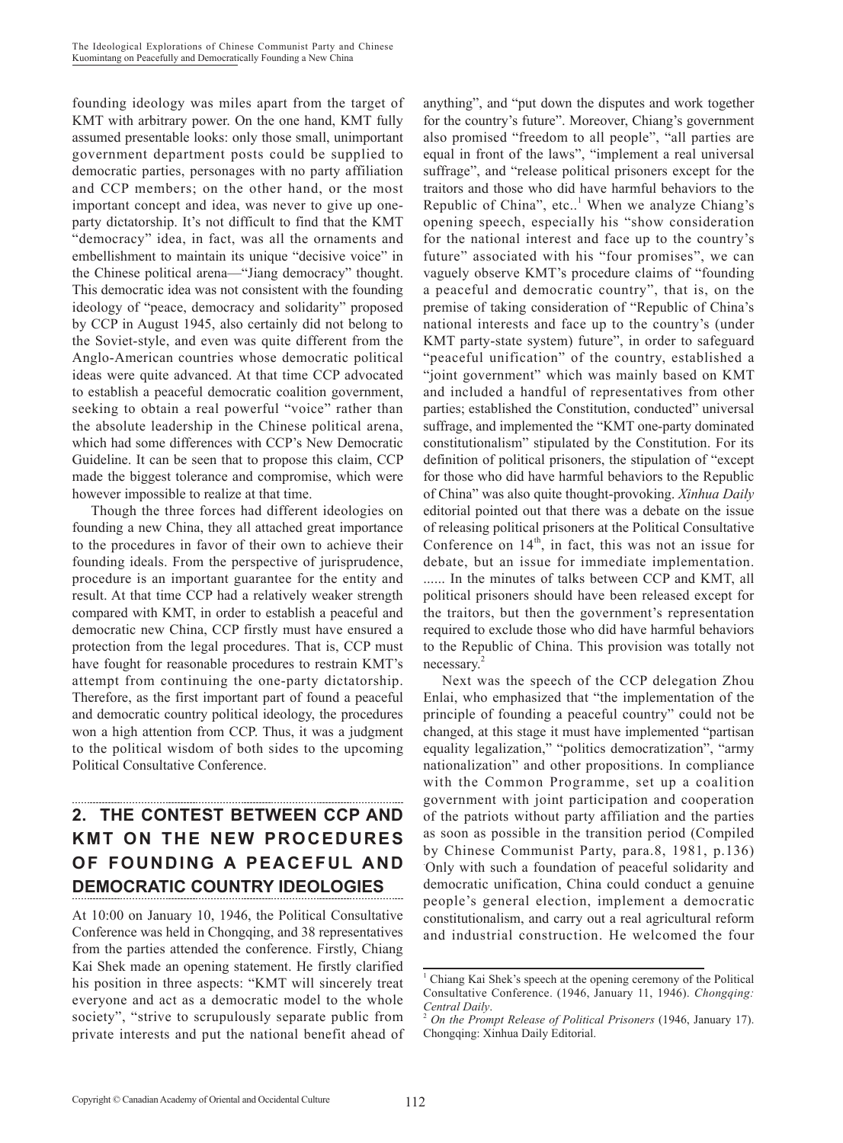founding ideology was miles apart from the target of KMT with arbitrary power. On the one hand, KMT fully assumed presentable looks: only those small, unimportant government department posts could be supplied to democratic parties, personages with no party affiliation and CCP members; on the other hand, or the most important concept and idea, was never to give up oneparty dictatorship. It's not difficult to find that the KMT "democracy" idea, in fact, was all the ornaments and embellishment to maintain its unique "decisive voice" in the Chinese political arena—"Jiang democracy" thought. This democratic idea was not consistent with the founding ideology of "peace, democracy and solidarity" proposed by CCP in August 1945, also certainly did not belong to the Soviet-style, and even was quite different from the Anglo-American countries whose democratic political ideas were quite advanced. At that time CCP advocated to establish a peaceful democratic coalition government, seeking to obtain a real powerful "voice" rather than the absolute leadership in the Chinese political arena, which had some differences with CCP's New Democratic Guideline. It can be seen that to propose this claim, CCP made the biggest tolerance and compromise, which were however impossible to realize at that time.

Though the three forces had different ideologies on founding a new China, they all attached great importance to the procedures in favor of their own to achieve their founding ideals. From the perspective of jurisprudence, procedure is an important guarantee for the entity and result. At that time CCP had a relatively weaker strength compared with KMT, in order to establish a peaceful and democratic new China, CCP firstly must have ensured a protection from the legal procedures. That is, CCP must have fought for reasonable procedures to restrain KMT's attempt from continuing the one-party dictatorship. Therefore, as the first important part of found a peaceful and democratic country political ideology, the procedures won a high attention from CCP. Thus, it was a judgment to the political wisdom of both sides to the upcoming Political Consultative Conference.

# **2. THE CONTEST BETWEEN CCP AND KMT ON THE NEW PROCEDURES OF FOUNDING A PEACEFUL AND DEMOCRATIC COUNTRY IDEOLOGIES**

At 10:00 on January 10, 1946, the Political Consultative Conference was held in Chongqing, and 38 representatives from the parties attended the conference. Firstly, Chiang Kai Shek made an opening statement. He firstly clarified his position in three aspects: "KMT will sincerely treat everyone and act as a democratic model to the whole society", "strive to scrupulously separate public from private interests and put the national benefit ahead of

anything", and "put down the disputes and work together for the country's future". Moreover, Chiang's government also promised "freedom to all people", "all parties are equal in front of the laws", "implement a real universal suffrage", and "release political prisoners except for the traitors and those who did have harmful behaviors to the Republic of China", etc.. $<sup>1</sup>$  When we analyze Chiang's</sup> opening speech, especially his "show consideration for the national interest and face up to the country's future" associated with his "four promises", we can vaguely observe KMT's procedure claims of "founding a peaceful and democratic country", that is, on the premise of taking consideration of "Republic of China's national interests and face up to the country's (under KMT party-state system) future", in order to safeguard "peaceful unification" of the country, established a "joint government" which was mainly based on KMT and included a handful of representatives from other parties; established the Constitution, conducted" universal suffrage, and implemented the "KMT one-party dominated constitutionalism" stipulated by the Constitution. For its definition of political prisoners, the stipulation of "except for those who did have harmful behaviors to the Republic of China" was also quite thought-provoking. *Xinhua Daily*  editorial pointed out that there was a debate on the issue of releasing political prisoners at the Political Consultative Conference on  $14<sup>th</sup>$ , in fact, this was not an issue for debate, but an issue for immediate implementation. ...... In the minutes of talks between CCP and KMT, all political prisoners should have been released except for the traitors, but then the government's representation required to exclude those who did have harmful behaviors to the Republic of China. This provision was totally not necessary.2

Next was the speech of the CCP delegation Zhou Enlai, who emphasized that "the implementation of the principle of founding a peaceful country" could not be changed, at this stage it must have implemented "partisan equality legalization," "politics democratization", "army nationalization" and other propositions. In compliance with the Common Programme, set up a coalition government with joint participation and cooperation of the patriots without party affiliation and the parties as soon as possible in the transition period (Compiled by Chinese Communist Party, para.8, 1981, p.136) . Only with such a foundation of peaceful solidarity and democratic unification, China could conduct a genuine people's general election, implement a democratic constitutionalism, and carry out a real agricultural reform and industrial construction. He welcomed the four

<sup>1</sup> Chiang Kai Shek's speech at the opening ceremony of the Political Consultative Conference. (1946, January 11, 1946). *Chongqing:* 

*On the Prompt Release of Political Prisoners* (1946, January 17). Chongqing: Xinhua Daily Editorial.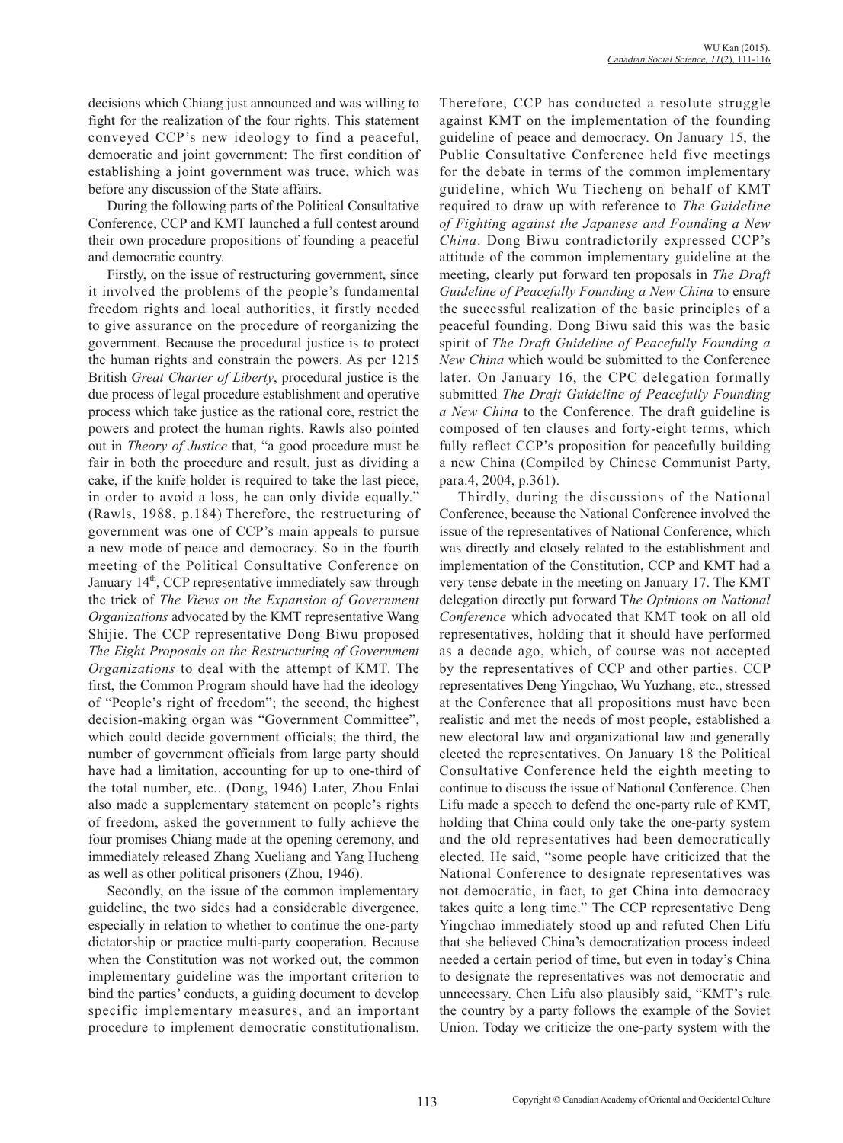decisions which Chiang just announced and was willing to fight for the realization of the four rights. This statement conveyed CCP's new ideology to find a peaceful, democratic and joint government: The first condition of establishing a joint government was truce, which was before any discussion of the State affairs.

During the following parts of the Political Consultative Conference, CCP and KMT launched a full contest around their own procedure propositions of founding a peaceful and democratic country.

Firstly, on the issue of restructuring government, since it involved the problems of the people's fundamental freedom rights and local authorities, it firstly needed to give assurance on the procedure of reorganizing the government. Because the procedural justice is to protect the human rights and constrain the powers. As per 1215 British *Great Charter of Liberty*, procedural justice is the due process of legal procedure establishment and operative process which take justice as the rational core, restrict the powers and protect the human rights. Rawls also pointed out in *Theory of Justice* that, "a good procedure must be fair in both the procedure and result, just as dividing a cake, if the knife holder is required to take the last piece, in order to avoid a loss, he can only divide equally." (Rawls, 1988, p.184) Therefore, the restructuring of government was one of CCP's main appeals to pursue a new mode of peace and democracy. So in the fourth meeting of the Political Consultative Conference on January 14<sup>th</sup>, CCP representative immediately saw through the trick of *The Views on the Expansion of Government Organizations* advocated by the KMT representative Wang Shijie. The CCP representative Dong Biwu proposed *The Eight Proposals on the Restructuring of Government Organizations* to deal with the attempt of KMT. The first, the Common Program should have had the ideology of "People's right of freedom"; the second, the highest decision-making organ was "Government Committee", which could decide government officials; the third, the number of government officials from large party should have had a limitation, accounting for up to one-third of the total number, etc.. (Dong, 1946) Later, Zhou Enlai also made a supplementary statement on people's rights of freedom, asked the government to fully achieve the four promises Chiang made at the opening ceremony, and immediately released Zhang Xueliang and Yang Hucheng as well as other political prisoners (Zhou, 1946).

Secondly, on the issue of the common implementary guideline, the two sides had a considerable divergence, especially in relation to whether to continue the one-party dictatorship or practice multi-party cooperation. Because when the Constitution was not worked out, the common implementary guideline was the important criterion to bind the parties' conducts, a guiding document to develop specific implementary measures, and an important procedure to implement democratic constitutionalism.

Therefore, CCP has conducted a resolute struggle against KMT on the implementation of the founding guideline of peace and democracy. On January 15, the Public Consultative Conference held five meetings for the debate in terms of the common implementary guideline, which Wu Tiecheng on behalf of KMT required to draw up with reference to *The Guideline of Fighting against the Japanese and Founding a New China*. Dong Biwu contradictorily expressed CCP's attitude of the common implementary guideline at the meeting, clearly put forward ten proposals in *The Draft Guideline of Peacefully Founding a New China* to ensure the successful realization of the basic principles of a peaceful founding. Dong Biwu said this was the basic spirit of *The Draft Guideline of Peacefully Founding a New China* which would be submitted to the Conference later. On January 16, the CPC delegation formally submitted *The Draft Guideline of Peacefully Founding a New China* to the Conference. The draft guideline is composed of ten clauses and forty-eight terms, which fully reflect CCP's proposition for peacefully building a new China (Compiled by Chinese Communist Party, para.4, 2004, p.361).

Thirdly, during the discussions of the National Conference, because the National Conference involved the issue of the representatives of National Conference, which was directly and closely related to the establishment and implementation of the Constitution, CCP and KMT had a very tense debate in the meeting on January 17. The KMT delegation directly put forward T*he Opinions on National Conference* which advocated that KMT took on all old representatives, holding that it should have performed as a decade ago, which, of course was not accepted by the representatives of CCP and other parties. CCP representatives Deng Yingchao, Wu Yuzhang, etc., stressed at the Conference that all propositions must have been realistic and met the needs of most people, established a new electoral law and organizational law and generally elected the representatives. On January 18 the Political Consultative Conference held the eighth meeting to continue to discuss the issue of National Conference. Chen Lifu made a speech to defend the one-party rule of KMT, holding that China could only take the one-party system and the old representatives had been democratically elected. He said, "some people have criticized that the National Conference to designate representatives was not democratic, in fact, to get China into democracy takes quite a long time." The CCP representative Deng Yingchao immediately stood up and refuted Chen Lifu that she believed China's democratization process indeed needed a certain period of time, but even in today's China to designate the representatives was not democratic and unnecessary. Chen Lifu also plausibly said, "KMT's rule the country by a party follows the example of the Soviet Union. Today we criticize the one-party system with the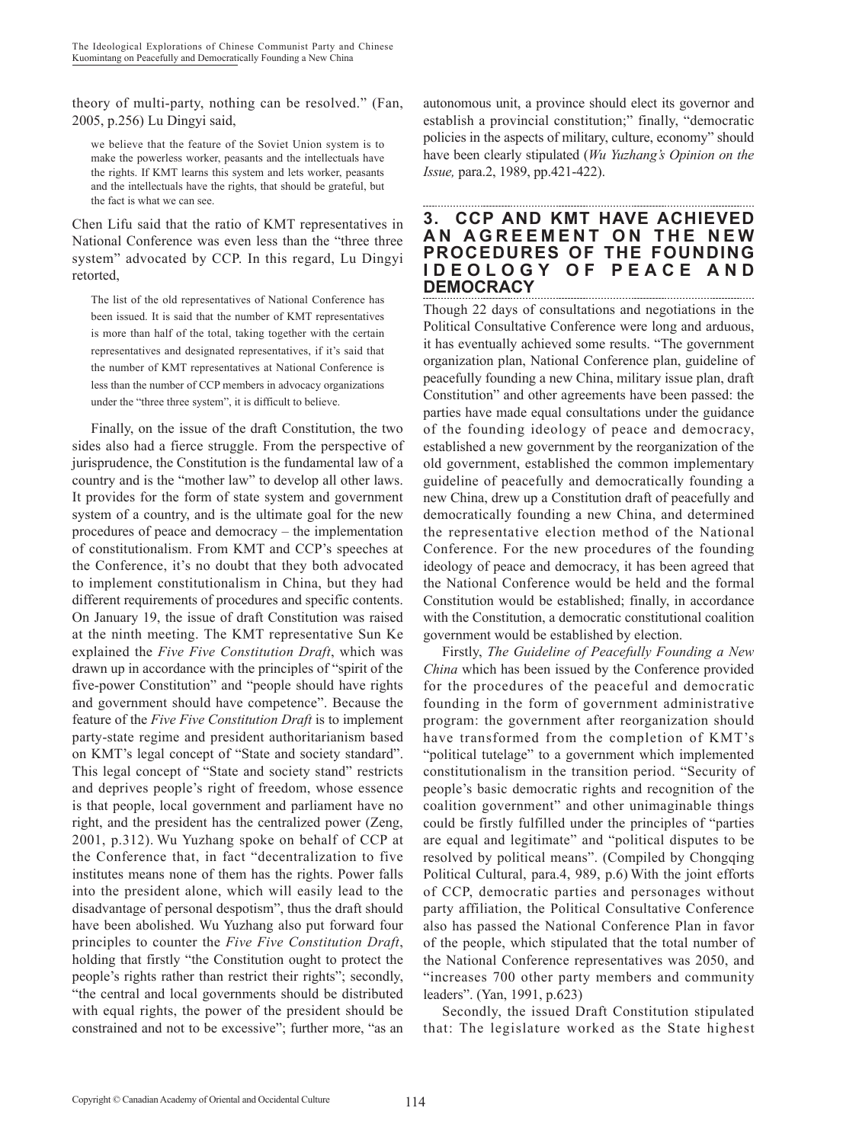theory of multi-party, nothing can be resolved." (Fan, 2005, p.256) Lu Dingyi said,

we believe that the feature of the Soviet Union system is to make the powerless worker, peasants and the intellectuals have the rights. If KMT learns this system and lets worker, peasants and the intellectuals have the rights, that should be grateful, but the fact is what we can see.

Chen Lifu said that the ratio of KMT representatives in National Conference was even less than the "three three system" advocated by CCP. In this regard, Lu Dingyi retorted,

The list of the old representatives of National Conference has been issued. It is said that the number of KMT representatives is more than half of the total, taking together with the certain representatives and designated representatives, if it's said that the number of KMT representatives at National Conference is less than the number of CCP members in advocacy organizations under the "three three system", it is difficult to believe.

Finally, on the issue of the draft Constitution, the two sides also had a fierce struggle. From the perspective of jurisprudence, the Constitution is the fundamental law of a country and is the "mother law" to develop all other laws. It provides for the form of state system and government system of a country, and is the ultimate goal for the new procedures of peace and democracy – the implementation of constitutionalism. From KMT and CCP's speeches at the Conference, it's no doubt that they both advocated to implement constitutionalism in China, but they had different requirements of procedures and specific contents. On January 19, the issue of draft Constitution was raised at the ninth meeting. The KMT representative Sun Ke explained the *Five Five Constitution Draft*, which was drawn up in accordance with the principles of "spirit of the five-power Constitution" and "people should have rights and government should have competence". Because the feature of the *Five Five Constitution Draft* is to implement party-state regime and president authoritarianism based on KMT's legal concept of "State and society standard". This legal concept of "State and society stand" restricts and deprives people's right of freedom, whose essence is that people, local government and parliament have no right, and the president has the centralized power (Zeng, 2001, p.312). Wu Yuzhang spoke on behalf of CCP at the Conference that, in fact "decentralization to five institutes means none of them has the rights. Power falls into the president alone, which will easily lead to the disadvantage of personal despotism", thus the draft should have been abolished. Wu Yuzhang also put forward four principles to counter the *Five Five Constitution Draft*, holding that firstly "the Constitution ought to protect the people's rights rather than restrict their rights"; secondly, "the central and local governments should be distributed with equal rights, the power of the president should be constrained and not to be excessive"; further more, "as an autonomous unit, a province should elect its governor and establish a provincial constitution;" finally, "democratic policies in the aspects of military, culture, economy" should have been clearly stipulated (*Wu Yuzhang's Opinion on the Issue,* para.2, 1989, pp.421-422).

### **3. CCP AND KMT HAVE ACHIEVED AN AGREEMENT ON THE NEW PROCEDURES OF THE FOUNDING I D E O L O G Y O F P E A C E A N D DEMOCRACY**

Though 22 days of consultations and negotiations in the Political Consultative Conference were long and arduous, it has eventually achieved some results. "The government organization plan, National Conference plan, guideline of peacefully founding a new China, military issue plan, draft Constitution" and other agreements have been passed: the parties have made equal consultations under the guidance of the founding ideology of peace and democracy, established a new government by the reorganization of the old government, established the common implementary guideline of peacefully and democratically founding a new China, drew up a Constitution draft of peacefully and democratically founding a new China, and determined the representative election method of the National Conference. For the new procedures of the founding ideology of peace and democracy, it has been agreed that the National Conference would be held and the formal Constitution would be established; finally, in accordance with the Constitution, a democratic constitutional coalition government would be established by election.

Firstly, *The Guideline of Peacefully Founding a New China* which has been issued by the Conference provided for the procedures of the peaceful and democratic founding in the form of government administrative program: the government after reorganization should have transformed from the completion of KMT's "political tutelage" to a government which implemented constitutionalism in the transition period. "Security of people's basic democratic rights and recognition of the coalition government" and other unimaginable things could be firstly fulfilled under the principles of "parties are equal and legitimate" and "political disputes to be resolved by political means". (Compiled by Chongqing Political Cultural, para.4, 989, p.6) With the joint efforts of CCP, democratic parties and personages without party affiliation, the Political Consultative Conference also has passed the National Conference Plan in favor of the people, which stipulated that the total number of the National Conference representatives was 2050, and "increases 700 other party members and community leaders". (Yan, 1991, p.623)

Secondly, the issued Draft Constitution stipulated that: The legislature worked as the State highest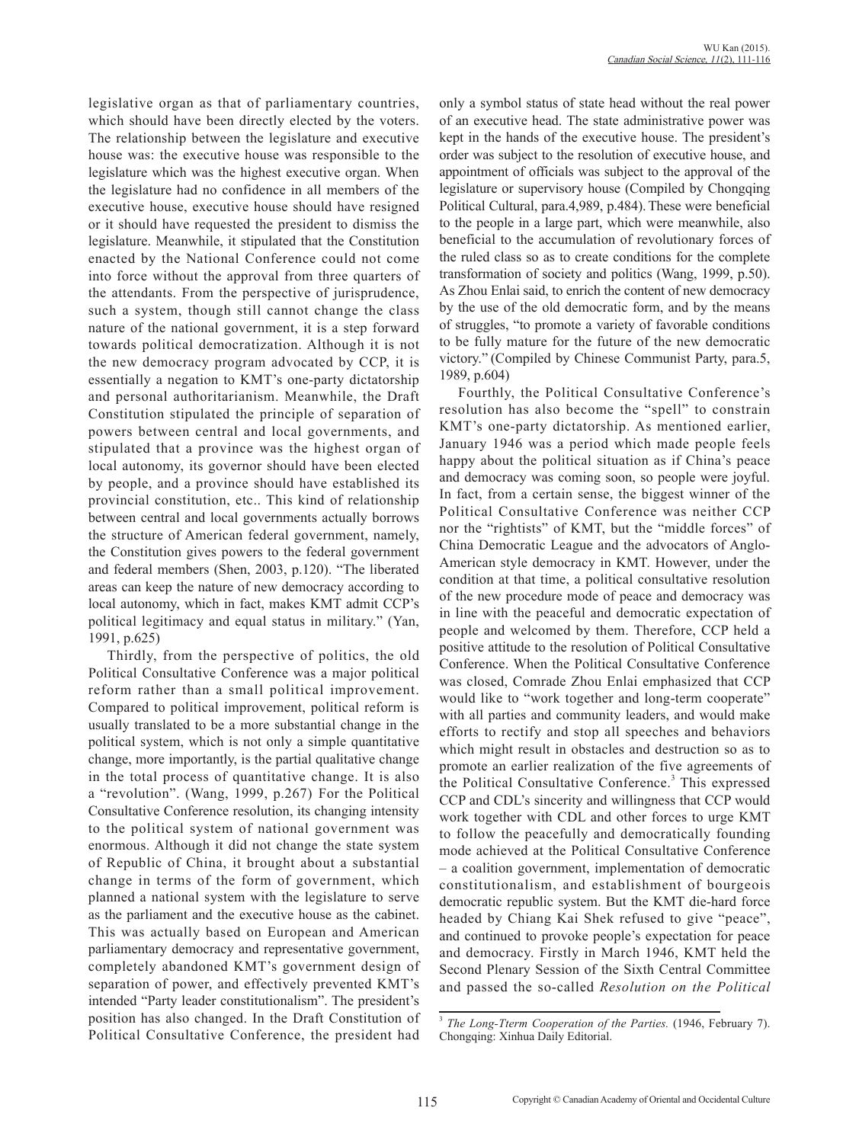legislative organ as that of parliamentary countries, which should have been directly elected by the voters. The relationship between the legislature and executive house was: the executive house was responsible to the legislature which was the highest executive organ. When the legislature had no confidence in all members of the executive house, executive house should have resigned or it should have requested the president to dismiss the legislature. Meanwhile, it stipulated that the Constitution enacted by the National Conference could not come into force without the approval from three quarters of the attendants. From the perspective of jurisprudence, such a system, though still cannot change the class nature of the national government, it is a step forward towards political democratization. Although it is not the new democracy program advocated by CCP, it is essentially a negation to KMT's one-party dictatorship and personal authoritarianism. Meanwhile, the Draft Constitution stipulated the principle of separation of powers between central and local governments, and stipulated that a province was the highest organ of local autonomy, its governor should have been elected by people, and a province should have established its provincial constitution, etc.. This kind of relationship between central and local governments actually borrows the structure of American federal government, namely, the Constitution gives powers to the federal government and federal members (Shen, 2003, p.120). "The liberated areas can keep the nature of new democracy according to local autonomy, which in fact, makes KMT admit CCP's political legitimacy and equal status in military." (Yan, 1991, p.625)

Thirdly, from the perspective of politics, the old Political Consultative Conference was a major political reform rather than a small political improvement. Compared to political improvement, political reform is usually translated to be a more substantial change in the political system, which is not only a simple quantitative change, more importantly, is the partial qualitative change in the total process of quantitative change. It is also a "revolution". (Wang, 1999, p.267) For the Political Consultative Conference resolution, its changing intensity to the political system of national government was enormous. Although it did not change the state system of Republic of China, it brought about a substantial change in terms of the form of government, which planned a national system with the legislature to serve as the parliament and the executive house as the cabinet. This was actually based on European and American parliamentary democracy and representative government, completely abandoned KMT's government design of separation of power, and effectively prevented KMT's intended "Party leader constitutionalism". The president's position has also changed. In the Draft Constitution of Political Consultative Conference, the president had only a symbol status of state head without the real power of an executive head. The state administrative power was kept in the hands of the executive house. The president's order was subject to the resolution of executive house, and appointment of officials was subject to the approval of the legislature or supervisory house (Compiled by Chongqing Political Cultural, para.4,989, p.484). These were beneficial to the people in a large part, which were meanwhile, also beneficial to the accumulation of revolutionary forces of the ruled class so as to create conditions for the complete transformation of society and politics (Wang, 1999, p.50). As Zhou Enlai said, to enrich the content of new democracy by the use of the old democratic form, and by the means of struggles, "to promote a variety of favorable conditions to be fully mature for the future of the new democratic victory." (Compiled by Chinese Communist Party, para.5, 1989, p.604)

Fourthly, the Political Consultative Conference's resolution has also become the "spell" to constrain KMT's one-party dictatorship. As mentioned earlier, January 1946 was a period which made people feels happy about the political situation as if China's peace and democracy was coming soon, so people were joyful. In fact, from a certain sense, the biggest winner of the Political Consultative Conference was neither CCP nor the "rightists" of KMT, but the "middle forces" of China Democratic League and the advocators of Anglo-American style democracy in KMT. However, under the condition at that time, a political consultative resolution of the new procedure mode of peace and democracy was in line with the peaceful and democratic expectation of people and welcomed by them. Therefore, CCP held a positive attitude to the resolution of Political Consultative Conference. When the Political Consultative Conference was closed, Comrade Zhou Enlai emphasized that CCP would like to "work together and long-term cooperate" with all parties and community leaders, and would make efforts to rectify and stop all speeches and behaviors which might result in obstacles and destruction so as to promote an earlier realization of the five agreements of the Political Consultative Conference.<sup>3</sup> This expressed CCP and CDL's sincerity and willingness that CCP would work together with CDL and other forces to urge KMT to follow the peacefully and democratically founding mode achieved at the Political Consultative Conference – a coalition government, implementation of democratic constitutionalism, and establishment of bourgeois democratic republic system. But the KMT die-hard force headed by Chiang Kai Shek refused to give "peace", and continued to provoke people's expectation for peace and democracy. Firstly in March 1946, KMT held the Second Plenary Session of the Sixth Central Committee and passed the so-called *Resolution on the Political* 

<sup>3</sup> *The Long-Tterm Cooperation of the Parties.* (1946, February 7). Chongqing: Xinhua Daily Editorial.